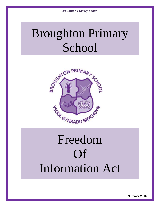# Broughton Primary School



# Freedom Of Information Act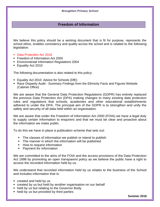# **Freedom of Information**

We believe this policy should be a working document that is fit for purpose, represents the school ethos, enables consistency and quality across the school and is related to the following legislation:

- Data Protection Act 2018
- **Freedom of Information Act 2000**
- **Environmental Information Regulations 2004**
- **Equality Act 2010**

The following documentation is also related to this policy:

- Equality Act 2010: Advice for Schools (DfE)
- Race Disparity Audit Summary Findings from the Ethnicity Facts and Figures Website (Cabinet Office)

We are aware that the General Data Protection Regulations (GDPR) has entirely replaced the previous Data Protection Act (DPA) making changes to many existing data protection rules and regulations that schools, academies and other educational establishments adhered to under the DPA. The principal aim of the GDPR is to strengthen and unify the safety and security of all data held within an organisation.

We are aware that under the Freedom of Information Act 2000 (FOIA) we have a legal duty to supply certain information to enquirers and that we must be clear and proactive about the information we make public.

To do this we have in place a publication scheme that sets out:

- The classes of information we publish or intend to publish
- The manner in which the information will be published
- How to request information
- Payment for information

We are committed to the aims of the FOIA and the access provisions of the Data Protection Act 1998 by promoting an open transparent policy as we believe the public have a right to access the recorded information held by us.

We understand that recorded information held by us relates to the business of the School and includes information that is:

- created and held by us
- created by us but held by another organisation on our behalf
- held by us but relating to the Governor Body
- held by us but provided by third parties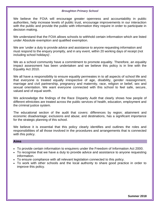We believe the FOIA will encourage greater openness and accountability in public authorities, help increase levels of public trust, encourage improvements in our interaction with the public and provide the public with information they require in order to participate in decision making.

We understand that the FOIA allows schools to withhold certain information which are listed under Absolute exemption and qualified exemption.

We are 'under a duty to provide advice and assistance to anyone requesting information and must respond to the enquiry promptly, and in any event, within 20 working days of receipt (not including school holidays)'.

We as a school community have a commitment to promote equality. Therefore, an equality impact assessment has been undertaken and we believe this policy is in line with the Equality Act 2010.

We all have a responsibility to ensure equality permeates in to all aspects of school life and that everyone is treated equally irrespective of age, disability, gender reassignment, marriage and civil partnership, pregnancy and maternity, race, religion or belief, sex and sexual orientation. We want everyone connected with this school to feel safe, secure, valued and of equal worth.

We acknowledge the findings of the Race Disparity Audit that clearly shows how people of different ethnicities are treated across the public services of health, education, employment and the criminal justice system.

The educational section of the audit that covers: differences by region; attainment and economic disadvantage; exclusions and abuse; and destinations, has a significant importance for the strategic planning of this school.

We believe it is essential that this policy clearly identifies and outlines the roles and responsibilities of all those involved in the procedures and arrangements that is connected with this policy.

# **Aims**

- To provide certain information to enquirers under the Freedom of Information Act 2000.
- To recognise that we have a duty to provide advice and assistance to anyone requesting information.
- To ensure compliance with all relevant legislation connected to this policy.
- To work with other schools and the local authority to share good practice in order to improve this policy.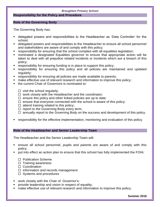# **Responsibility for the Policy and Procedure**

## **Role of the Governing Body**

The Governing Body has:

- delegated powers and responsibilities to the Headteacher as 'Data Controller' for the school;
- delegated powers and responsibilities to the Headteacher to ensure all school personnel and stakeholders are aware of and comply with this policy;
- responsibility for ensuring that the school complies with all equalities legislation;
- nominated a designated Equalities governor to ensure that appropriate action will be taken to deal with all prejudice related incidents or incidents which are a breach of this policy;
- responsibility for ensuring funding is in place to support this policy;
- responsibility for ensuring this policy and all policies are maintained and updated regularly;
- **F** responsibility for ensuring all policies are made available to parents;
- make effective use of relevant research and information to improve this policy;
- the current Chair of Governors is nominated to:
	- $\Box$  visit the school regularly;
	- $\Box$  work closely with the Headteacher and the coordinator;
	- $\Box$  ensure this policy and other linked policies are up to date;
	- $\Box$  ensure that everyone connected with the school is aware of this policy;
	- $\Box$  attend training related to this policy;
	- $\Box$  report to the Governing Body every term;
	- $\Box$  annually report to the Governing Body on the success and development of this policy.
- responsibility for the effective implementation, monitoring and evaluation of this policy.

## **Role of the Headteacher and Senior Leadership Team**

The Headteacher and the Senior Leadership Team will:

- ensure all school personnel, pupils and parents are aware of and comply with this policy;
- put into effect an action plan to ensure that this school has fully implemented the FOIA:
	- $\Box$  Publication Scheme
	- $\Box$  Training awareness
	- □ Coordination
	- $\Box$  Information and records management
	- $\Box$  Systems and procedures
- work closely with the Chair of Governor's;
- provide leadership and vision in respect of equality;
- **nake effective use of relevant research and information to improve this policy;**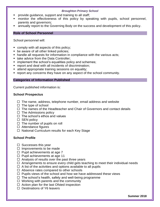- provide guidance, support and training to all staff;
- monitor the effectiveness of this policy by speaking with pupils, school personnel, parents and governors;
- annually report to the Governing Body on the success and development of this policy.

# **Role of School Personnel**

School personnel will:

- comply with all aspects of this policy;
- **be aware of all other linked policies;**
- handle all requests for information in compliance with the various acts;
- take advice from the Data Controller:
- **implement the school's equalities policy and schemes;**
- **report and deal with all incidents of discrimination;**
- **attend appropriate training sessions on equality;**
- report any concerns they have on any aspect of the school community.

## **Categories of Information Published**

Current published information is:

# **School Prospectus**

- $\Box$  The name, address, telephone number, email address and website
- $\Box$  The type of school
- $\Box$  The names of the Headteacher and Chair of Governors and contact details
- $\Box$  The Admissions policy
- $\Box$  The school's ethos and values
- $\square$  SEN policy
- $\Box$  The number of pupils on roll
- $\Box$  Attendance figures
- $\Box$  National Curriculum results for each Key Stage

# **School Profile**

- $\square$  Successes this year
- $\square$  Improvements to be made
- $\Box$  Pupil achievements at age 7
- $\Box$  Pupil achievements at age 11
- $\Box$  Analysis of results over the past three years
- $\Box$  Arrangements to ensure every child gets teaching to meet their individual needs
- $\Box$  A list of the activities and options available to all pupils
- $\Box$  Absence rates compared to other schools
- $\Box$  Pupils views of the school and how we have addressed these views
- $\Box$  The school's health, safety and well-being programme
- $\Box$  Working with parents and the community
- $\Box$  Action plan for the last Ofsted inspection
- $\Box$  Destinations of Y6 leavers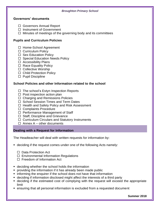## **Governors' documents**

- □ Governors Annual Report
- $\Box$  Instrument of Government
- $\Box$  Minutes of meetings of the governing body and its committees

# **Pupils and Curriculum Policies**

- □ Home-School Agreement
- $\Box$  Curriculum Policy
- $\Box$  Sex Education Policy
- $\Box$  Special Education Needs Policy
- $\Box$  Accessibility Plans
- $\Box$  Race Equality Policy
- $\Box$  Collective Worship
- □ Child Protection Policy
- $\square$  Pupil Discipline

# **School Policies and other Information related to the school**

- $\Box$  The school's Estyn Inspection Reports
- $\Box$  Post inspection action plan
- $\Box$  Charging and Remissions Policies
- $\Box$  School Session Times and Term Dates
- $\Box$  Health and Safety Policy and Risk Assessment
- □ Complaints Procedure
- $\Box$  Performance Management of Staff
- $\Box$  Staff, Discipline and Grievance
- $\Box$  Curriculum Circulars and Statutory Instruments
- $\Box$  Annex A other documents

# **Dealing with a Request for Information**

The Headteacher will deal with written requests for information by:

- deciding if the request comes under one of the following Acts namely:
	- □ Data Protection Act
	- $\Box$  Environmental Information Regulations
	- $\Box$  Freedom of Information Act
- deciding whether the school holds the information
- providing the information if it has already been made public
- **F** informing the enquirer if the school does not have that information
- deciding if information disclosed might affect the interests of a third party
- deciding if the estimated cost of complying with the request will exceed the appropriate limit
- ensuring that all personal information is excluded from a requested document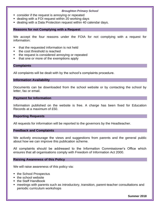- consider if the request is annoying or repeated
- dealing with a FOI request within 20 working days
- dealing with a Data Protection request within 40 calendar days.

### **Reasons for not Complying with a Request**

We accept the four reasons under the FOIA for not complying with a request for information:

- that the requested information is not held
- the cost threshold is reached
- the request is considered annoying or repeated
- that one or more of the exemptions apply

#### **Complaints**

All complaints will be dealt with by the school's complaints procedure.

#### **Information Availability**

Documents can be downloaded from the school website or by contacting the school by letter, fax or email.

#### **Payment for Information**

Information published on the website is free. A charge has been fixed for Education Records at a maximum of £50.

#### **Reporting Requests**

All requests for information will be reported to the governors by the Headteacher.

#### **Feedback and Complaints**

We actively encourage the views and suggestions from parents and the general public about how we can improve this publication scheme.

All complaints should be addressed to the Information Commissioner's Office which ensures that all organisations comply with Freedom of Information Act 2000.

## **Raising Awareness of this Policy**

We will raise awareness of this policy via:

- the School Prospectus
- the school website
- the Staff Handbook
- meetings with parents such as introductory, transition, parent-teacher consultations and periodic curriculum workshops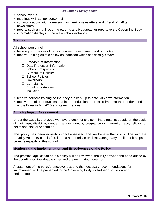- school events
- **neetings with school personnel**
- communications with home such as weekly newsletters and of end of half term newsletters
- reports such annual report to parents and Headteacher reports to the Governing Body
- **information displays in the main school entrance**

## **Training**

All school personnel:

- have equal chances of training, career development and promotion
- **•** receive training on this policy on induction which specifically covers:
	- $\square$  Freedom of Information
	- $\Box$  Data Protection Information
	- $\Box$  School Prospectus
	- $\Box$  Curriculum Policies
	- $\Box$  School Policies
	- □ Governors
	- $\Box$  Complaints
	- $\Box$  Equal opportunities
	- $\Box$  Inclusion
- receive periodic training so that they are kept up to date with new information
- **•** receive equal opportunities training on induction in order to improve their understanding of the Equality Act 2010 and its implications.

## **Equality Impact Assessment**

Under the Equality Act 2010 we have a duty not to discriminate against people on the basis of their age, disability, gender, gender identity, pregnancy or maternity, race, religion or belief and sexual orientation.

This policy has been equality impact assessed and we believe that it is in line with the Equality Act 2010 as it is fair, it does not prioritise or disadvantage any pupil and it helps to promote equality at this school.

## **Monitoring the Implementation and Effectiveness of the Policy**

The practical application of this policy will be reviewed annually or when the need arises by the coordinator, the Headteacher and the nominated governor.

A statement of the policy's effectiveness and the necessary recommendations for improvement will be presented to the Governing Body for further discussion and endorsement.